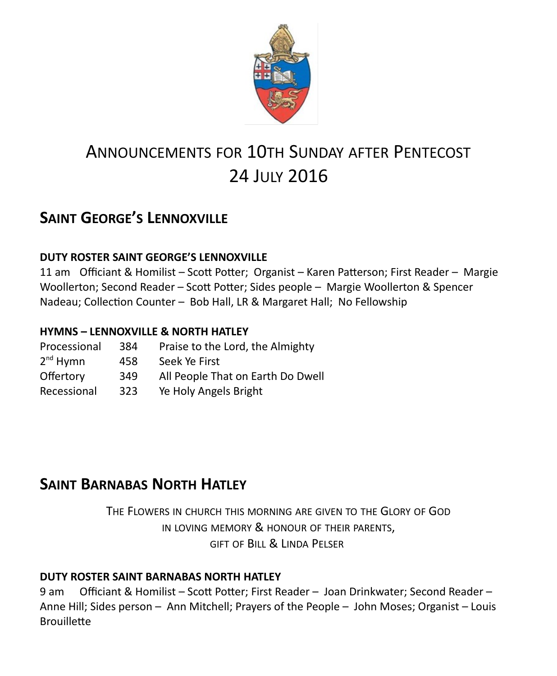

# ANNOUNCEMENTS FOR 10TH SUNDAY AFTER PENTECOST 24 JULY 2016

# **SAINT GEORGE'S LENNOXVILLE**

#### **DUTY ROSTER SAINT GEORGE'S LENNOXVILLE**

11 am Officiant & Homilist – Scott Potter; Organist – Karen Patterson; First Reader – Margie Woollerton; Second Reader – Scott Potter; Sides people – Margie Woollerton & Spencer Nadeau; Collection Counter – Bob Hall, LR & Margaret Hall; No Fellowship

#### **HYMNS – LENNOXVILLE & NORTH HATLEY**

| Processional         | 384 | Praise to the Lord, the Almighty  |
|----------------------|-----|-----------------------------------|
| 2 <sup>nd</sup> Hymn | 458 | Seek Ye First                     |
| Offertory            | 349 | All People That on Earth Do Dwell |
| Recessional          | 323 | Ye Holy Angels Bright             |

## **SAINT BARNABAS NORTH HATLEY**

THE FLOWERS IN CHURCH THIS MORNING ARE GIVEN TO THE GLORY OF GOD IN LOVING MEMORY & HONOUR OF THEIR PARENTS, GIFT OF BILL & LINDA PELSER

#### **DUTY ROSTER SAINT BARNABAS NORTH HATLEY**

9 am Officiant & Homilist – Scott Potter; First Reader – Joan Drinkwater; Second Reader – Anne Hill; Sides person – Ann Mitchell; Prayers of the People – John Moses; Organist – Louis **Brouillette**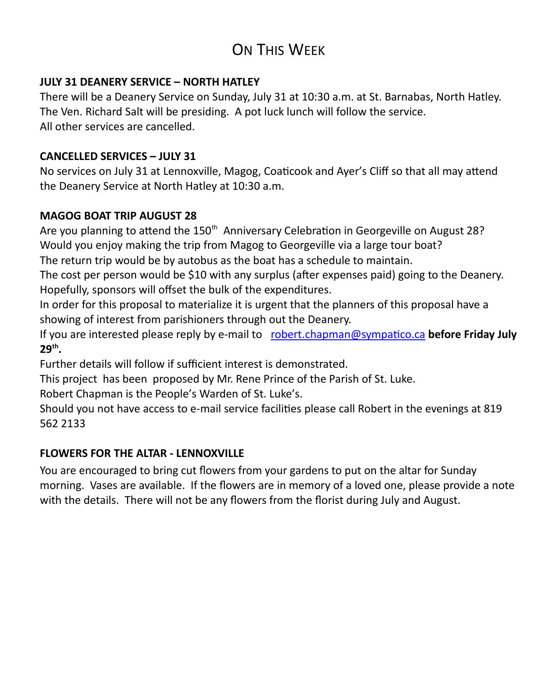# ON THIS WEEK

#### **JULY 31 DEANERY SERVICE – NORTH HATLEY**

There will be a Deanery Service on Sunday, July 31 at 10:30 a.m. at St. Barnabas, North Hatley. The Ven. Richard Salt will be presiding. A pot luck lunch will follow the service. All other services are cancelled.

#### **CANCELLED SERVICES – JULY 31**

No services on July 31 at Lennoxville, Magog, Coaticook and Ayer's Cliff so that all may attend the Deanery Service at North Hatley at 10:30 a.m.

#### **MAGOG BOAT TRIP AUGUST 28**

Are you planning to attend the 150<sup>th</sup> Anniversary Celebration in Georgeville on August 28? Would you enjoy making the trip from Magog to Georgeville via a large tour boat?

The return trip would be by autobus as the boat has a schedule to maintain.

The cost per person would be \$10 with any surplus (after expenses paid) going to the Deanery. Hopefully, sponsors will offset the bulk of the expenditures.

In order for this proposal to materialize it is urgent that the planners of this proposal have a showing of interest from parishioners through out the Deanery.

If you are interested please reply by e-mail to [robert.chapman@sympatico.ca](mailto:robert.chapman@sympatico.ca) before Friday July **29th .**

Further details will follow if sufficient interest is demonstrated.

This project has been proposed by Mr. Rene Prince of the Parish of St. Luke.

Robert Chapman is the People's Warden of St. Luke's.

Should you not have access to e-mail service facilities please call Robert in the evenings at 819 562 2133

#### **FLOWERS FOR THE ALTAR - LENNOXVILLE**

You are encouraged to bring cut flowers from your gardens to put on the altar for Sunday morning. Vases are available. If the flowers are in memory of a loved one, please provide a note with the details. There will not be any flowers from the florist during July and August.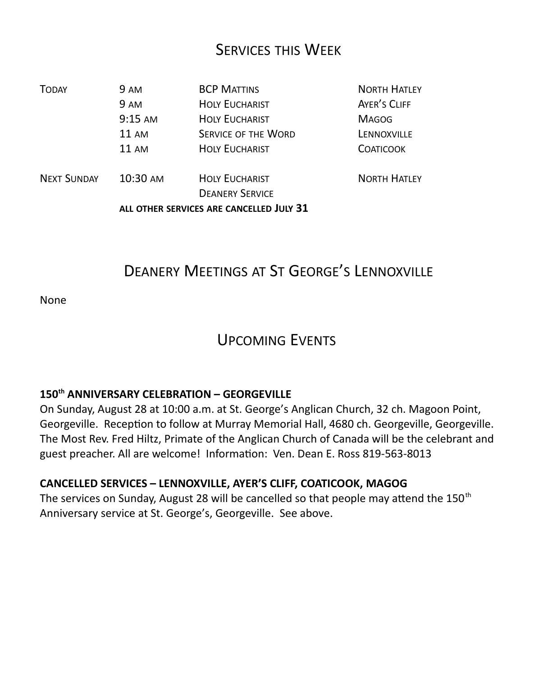### SERVICES THIS WEEK

| <b>TODAY</b>       | 9 AM                                     | <b>BCP MATTINS</b>         | <b>NORTH HATLEY</b> |
|--------------------|------------------------------------------|----------------------------|---------------------|
|                    | 9 AM                                     | <b>HOLY EUCHARIST</b>      | AYER'S CLIFF        |
|                    | $9:15$ AM                                | <b>HOLY EUCHARIST</b>      | <b>MAGOG</b>        |
|                    | $11 \text{ AM}$                          | <b>SERVICE OF THE WORD</b> | LENNOXVILLE         |
|                    | $11 \text{ AM}$                          | <b>HOLY EUCHARIST</b>      | <b>COATICOOK</b>    |
| <b>NEXT SUNDAY</b> | 10:30 AM                                 | <b>HOLY EUCHARIST</b>      | <b>NORTH HATLEY</b> |
|                    |                                          | <b>DEANERY SERVICE</b>     |                     |
|                    | ALL OTHER SERVICES ARE CANCELLED JULY 31 |                            |                     |

## DEANERY MEETINGS AT ST GEORGE'S LENNOXVILLE

None

### UPCOMING EVENTS

### **150th ANNIVERSARY CELEBRATION – GEORGEVILLE**

On Sunday, August 28 at 10:00 a.m. at St. George's Anglican Church, 32 ch. Magoon Point, Georgeville. Reception to follow at Murray Memorial Hall, 4680 ch. Georgeville, Georgeville. The Most Rev. Fred Hiltz, Primate of the Anglican Church of Canada will be the celebrant and guest preacher. All are welcome! Information: Ven. Dean E. Ross 819-563-8013

#### **CANCELLED SERVICES – LENNOXVILLE, AYER'S CLIFF, COATICOOK, MAGOG**

The services on Sunday, August 28 will be cancelled so that people may attend the 150<sup>th</sup> Anniversary service at St. George's, Georgeville. See above.